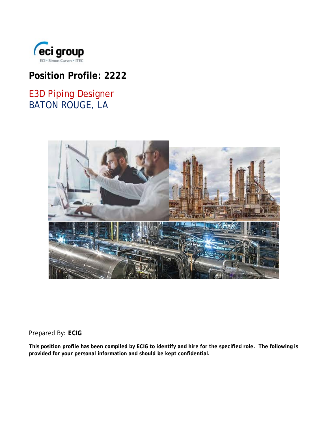

# **Position Profile: 2222**

# E3D Piping Designer BATON ROUGE, LA



Prepared By: *ECIG*

**This position profile has been compiled by ECIG to identify and hire for the specified role. The following is provided for your personal information and should be kept confidential.**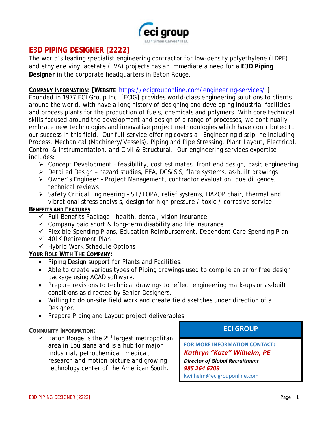

# **E3D PIPING DESIGNER [2222]**

The world's leading specialist engineering contractor for low-density polyethylene (LDPE) and ethylene vinyl acetate (EVA) projects has an immediate a need for a **E3D Piping Designer** in the corporate headquarters in Baton Rouge.

#### **COMPANY INFORMATION: [WEBSITE** <https://ecigrouponline.com/engineering-services/> ]

Founded in 1977 ECI Group Inc. [ECIG] provides world-class engineering solutions to clients around the world, with have a long history of designing and developing industrial facilities and process plants for the production of fuels, chemicals and polymers. With core technical skills focused around the development and design of a range of processes, we continually embrace new technologies and innovative project methodologies which have contributed to our success in this field. Our full-service offering covers all Engineering discipline including Process, Mechanical (Machinery/Vessels), Piping and Pipe Stressing, Plant Layout, Electrical, Control & Instrumentation, and Civil & Structural. Our engineering services expertise includes:

- $\triangleright$  Concept Development feasibility, cost estimates, front end design, basic engineering
- Detailed Design hazard studies, FEA, DCS/SIS, flare systems, as-built drawings
- Owner's Engineer Project Management, contractor evaluation, due diligence, technical reviews
- Safety Critical Engineering SIL/LOPA, relief systems, HAZOP chair, thermal and vibrational stress analysis, design for high pressure / toxic / corrosive service

#### **BENEFITS AND FEATURES**

- $\checkmark$  Full Benefits Package health, dental, vision insurance.
- $\checkmark$  Company paid short & long-term disability and life insurance
- $\checkmark$  Flexible Spending Plans, Education Reimbursement, Dependent Care Spending Plan
- $\checkmark$  401K Retirement Plan
- $\checkmark$  Hybrid Work Schedule Options

## **YOUR ROLE WITH THE COMPANY:**

- Piping Design support for Plants and Facilities.
- Able to create various types of Piping drawings used to compile an error free design package using ACAD software.
- Prepare revisions to technical drawings to reflect engineering mark-ups or as-built conditions as directed by Senior Designers.
- Willing to do on-site field work and create field sketches under direction of a Designer.
- Prepare Piping and Layout project deliverables

## **COMMUNITY INFORMATION:**

 $\checkmark$  Baton Rouge is the 2<sup>nd</sup> largest metropolitan area in Louisiana and is a hub for major industrial, petrochemical, medical, research and motion picture and growing technology center of the American South.

**ECI GROUP**

**FOR MORE INFORMATION CONTACT:** *Kathryn "Kate" Wilhelm, PE Director of Global Recruitment 985 264 6709* kwilhelm@ecigrouponline.com